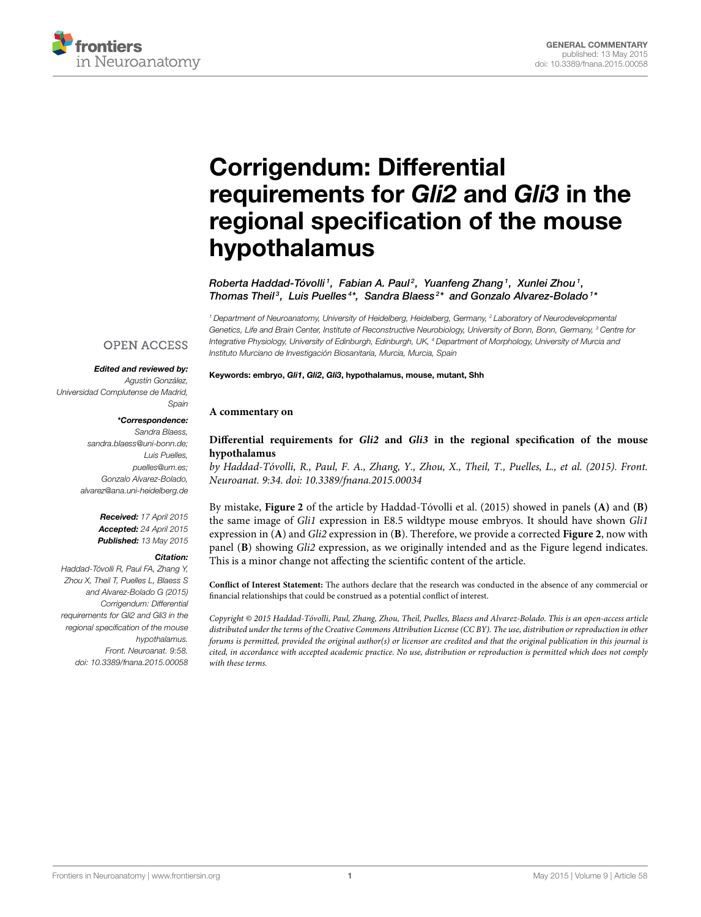

## Corrigendum: Differential requirements for Gli2 and Gli3 in the [regional specification of the mouse](http://journal.frontiersin.org/article/10.3389/fnana.2015.00058/full) hypothalamus

[Roberta Haddad-Tóvolli](http://community.frontiersin.org/people/u/44055)<sup>1</sup>,  [Fabian A. Paul](http://community.frontiersin.org/people/u/210239)<sup>2</sup>,  [Yuanfeng Zhang](http://community.frontiersin.org/people/u/210243)<sup>1</sup>,  [Xunlei Zhou](http://community.frontiersin.org/people/u/198951)<sup>1</sup>, [Thomas Theil](http://community.frontiersin.org/people/u/230492)<sup>3</sup>, [Luis Puelles](http://community.frontiersin.org/people/u/998)<sup>4\*</sup>, [Sandra Blaess](http://community.frontiersin.org/people/u/50646)<sup>2\*</sup> and [Gonzalo Alvarez-Bolado](http://community.frontiersin.org/people/u/37443)<sup>1\*</sup>

<sup>1</sup> Department of Neuroanatomy, University of Heidelberg, Heidelberg, Germany, <sup>2</sup> Laboratory of Neurodevelopmental Genetics, Life and Brain Center, Institute of Reconstructive Neurobiology, University of Bonn, Bonn, Germany, <sup>3</sup> Centre for Integrative Physiology, University of Edinburgh, Edinburgh, UK, <sup>4</sup> Department of Morphology, University of Murcia and Instituto Murciano de Investigación Biosanitaria, Murcia, Murcia, Spain

## Keywords: embryo, Gli1, Gli2, Gli3, hypothalamus, mouse, mutant, Shh

## **A commentary on**

Sandra Blaess,

[sandra.blaess@uni-bonn.de;](mailto:sandra.blaess@uni-bonn.de) Luis Puelles, [puelles@um.es;](mailto:puelles@um.es) Gonzalo Alvarez-Bolado, [alvarez@ana.uni-heidelberg.de](mailto:alvarez@ana.uni-heidelberg.de)

Edited and reviewed by: Agustín González,

**OPEN ACCESS** 

\*Correspondence:

Universidad Complutense de Madrid,

Received: 17 April 2015 Accepted: 24 April 2015 Published: 13 May 2015

## Citation:

Spain

Haddad-Tóvolli R, Paul FA, Zhang Y, Zhou X, Theil T, Puelles L, Blaess S and Alvarez-Bolado G (2015) Corrigendum: Differential requirements for Gli2 and Gli3 in the regional specification of the mouse hypothalamus. Front. Neuroanat. 9:58. doi: [10.3389/fnana.2015.00058](http://dx.doi.org/10.3389/fnana.2015.00058)

**Differential requirements for Gli2 and Gli3 [in the regional specification of the mouse](http://journal.frontiersin.org/article/10.3389/fnana.2015.00034/abstract) hypothalamus**

by Haddad-Tóvolli, R., Paul, F. A., Zhang, Y., Zhou, X., Theil, T., Puelles, L., et al. (2015). Front. Neuroanat. 9:34. doi: 10.3389/fnana.2015.00034

By mistake, **Figure 2** of the article by Haddad-Tóvolli et al. (2015) showed in panels **(A)** and **(B)** the same image of Gli1 expression in E8.5 wildtype mouse embryos. It should have shown Gli1 expression in (**A**) and Gli2 expression in (**B**). Therefore, we provide a corrected **Figure 2**, now with panel (**B**) showing Gli2 expression, as we originally intended and as the Figure legend indicates. This is a minor change not affecting the scientific content of the article.

**Conflict of Interest Statement:** The authors declare that the research was conducted in the absence of any commercial or financial relationships that could be construed as a potential conflict of interest.

Copyright © 2015 Haddad-Tóvolli, Paul, Zhang, Zhou, Theil, Puelles, Blaess and Alvarez-Bolado. This is an open-access article distributed under the terms of the [Creative Commons Attribution License \(CC BY\).](http://creativecommons.org/licenses/by/4.0/) The use, distribution or reproduction in other forums is permitted, provided the original author(s) or licensor are credited and that the original publication in this journal is cited, in accordance with accepted academic practice. No use, distribution or reproduction is permitted which does not comply with these terms.